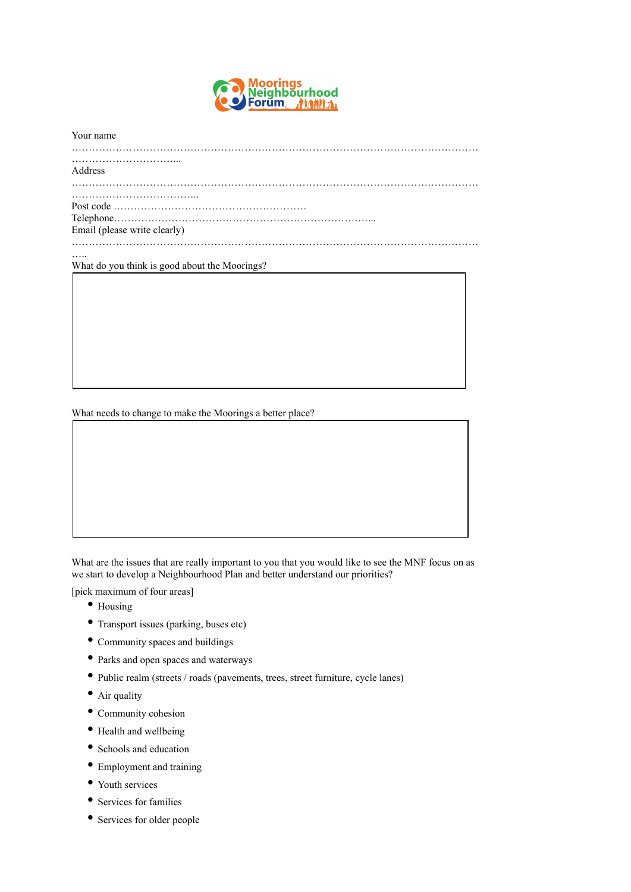

| Your name                                     |
|-----------------------------------------------|
| Address                                       |
|                                               |
| Telephone.                                    |
| Email (please write clearly)                  |
|                                               |
| What do you think is good about the Moorings? |
|                                               |
|                                               |
|                                               |
|                                               |
|                                               |
|                                               |
|                                               |

What needs to change to make the Moorings a better place?

What are the issues that are really important to you that you would like to see the MNF focus on as we start to develop a Neighbourhood Plan and better understand our priorities?

[pick maximum of four areas]

- Housing
- Transport issues (parking, buses etc)
- Community spaces and buildings
- Parks and open spaces and waterways
- Public realm (streets / roads (pavements, trees, street furniture, cycle lanes)
- Air quality
- Community cohesion
- Health and wellbeing
- Schools and education
- Employment and training
- Youth services
- Services for families
- Services for older people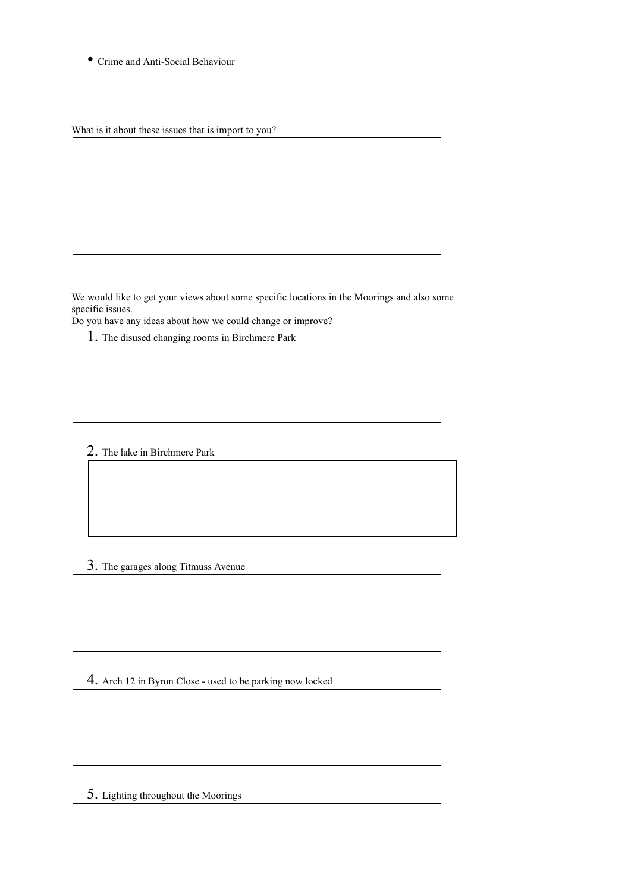• Crime and Anti-Social Behaviour

What is it about these issues that is import to you?

We would like to get your views about some specific locations in the Moorings and also some specific issues.

Do you have any ideas about how we could change or improve?

1. The disused changing rooms in Birchmere Park

2. The lake in Birchmere Park

## 3. The garages along Titmuss Avenue

4. Arch 12 in Byron Close - used to be parking now locked

5. Lighting throughout the Moorings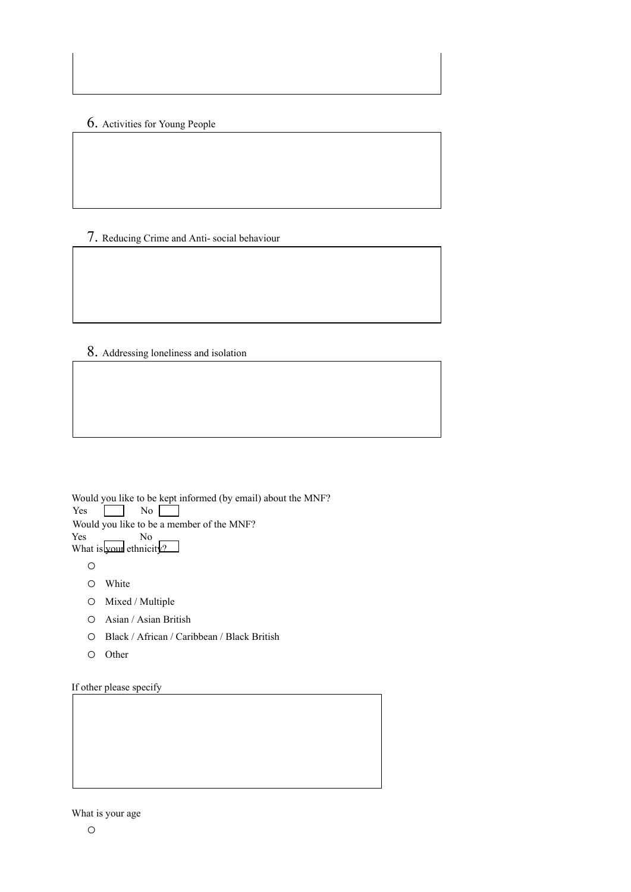6. Activities for Young People

7. Reducing Crime and Anti- social behaviour

8. Addressing loneliness and isolation

Would you like to be kept informed (by email) about the MNF? Yes No Would you like to be a member of the MNF? Yes No

What is your ethnicity?

o

- o White
- o Mixed / Multiple
- o Asian / Asian British
- o Black / African / Caribbean / Black British
- o Other

If other please specify

## What is your age